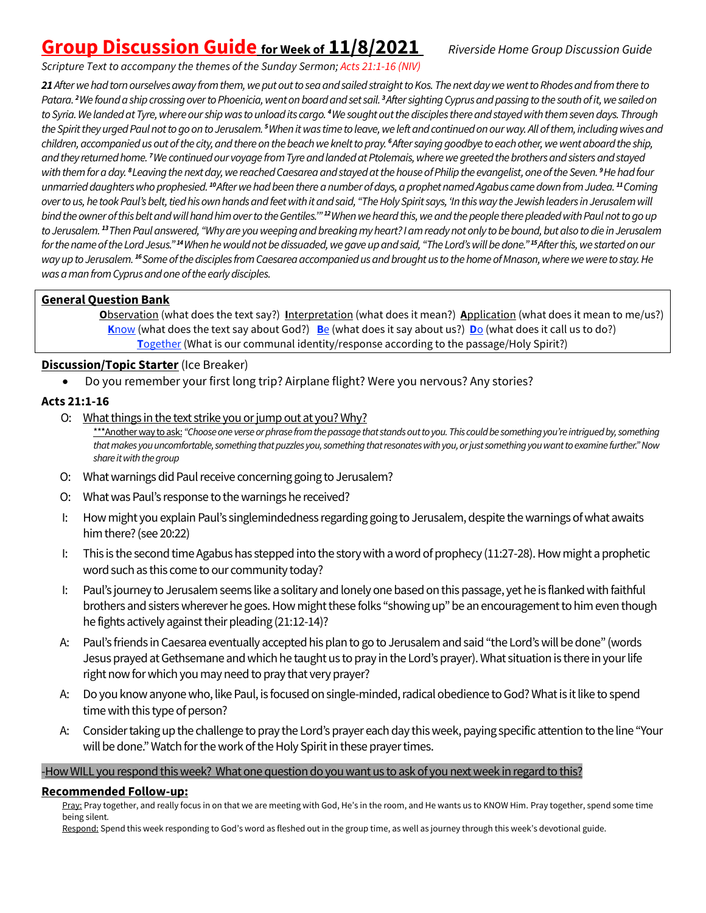# **Group Discussion Guide for Week of 11/8/2021** *Riverside Home Group Discussion Guide*

*Scripture Text to accompany the themes of the Sunday Sermon; Acts 21:1-16 (NIV)*

*21 After we had torn ourselves away from them, we put out to sea and sailed straight to Kos. The next day we went to Rhodes and from there to*  Patara. <sup>2</sup>We found a ship crossing over to Phoenicia, went on board and set sail. <sup>3</sup>After sighting Cyprus and passing to the south of it, we sailed on *to Syria.We landed at Tyre, where our ship was to unload its cargo. <sup>4</sup>We sought out the disciples there and stayed with them seven days. Through the Spiritthey urged Paul not to go on to Jerusalem. <sup>5</sup>When it was time to leave, we left and continued on our way. All of them, including wives and*  children, accompanied us out of the city, and there on the beach we knelt to pray. <sup>6</sup>After saying goodbye to each other, we went aboard the ship, *and they returned home. <sup>7</sup>We continued our voyage from Tyreand landed at Ptolemais, where we greeted the brothers and sisters and stayed*  with them for a day. <sup>8</sup> Leaving the next day, we reached Caesarea and stayed at the house of Philip the evangelist, one of the Seven. <sup>9</sup> He had four *unmarried daughters who prophesied. <sup>10</sup>After we had been there a number of days, a prophet named Agabus came down from Judea. <sup>11</sup>Coming over to us, he took Paul's belt, tied his own hands and feet with it and said, "The Holy Spirit says, 'In this way the Jewish leaders in Jerusalem will bindthe owner of this belt and will hand him over to the Gentiles.'" <sup>12</sup>When we heard this, we and the people there pleaded with Paul not to go up to Jerusalem. <sup>13</sup>Then Paul answered, "Why are you weeping and breaking my heart? I am ready not only to be bound, but also to die in Jerusalem for the name of the Lord Jesus." <sup>14</sup>When he would not be dissuaded, we gave upand said, "The Lord's will be done." <sup>15</sup>After this, we started on our*  way up to Jerusalem. <sup>16</sup> Some of the disciples from Caesarea accompanied us and brought us to the home of Mnason, where we were to stay. He *was a man from Cyprusand one of the early disciples.*

# **General Question Bank**

**O**bservation (what does the text say?) **I**nterpretation (what does it mean?) **A**pplication (what does it mean to me/us?)  **K**now (what does the text say about God?) **B**e (what does it say about us?) **D**o (what does it call us to do?) **T**ogether (What is our communal identity/response according to the passage/Holy Spirit?)

## **Discussion/Topic Starter** (Ice Breaker)

• Do you remember your first long trip? Airplane flight? Were you nervous? Any stories?

## **Acts 21:1-16**

O: What things in the text strike you or jump out at you? Why?

\*\*\*Another way to ask: "Choose one verse or phrase from the passage that stands out to you. This could be something you're intrigued by, something *that makes you uncomfortable, something that puzzles you, something that resonates with you, or just something you want to examine further." Now share itwith the group*

- O: What warnings did Paul receive concerning going to Jerusalem?
- O: What was Paul's response to the warnings he received?
- I: How might you explain Paul's singlemindedness regarding going to Jerusalem, despite the warnings of what awaits him there? (see 20:22)
- I: This is the second time Agabus has stepped into the story with a word of prophecy (11:27-28). How might a prophetic word such as this come to our community today?
- I: Paul's journey to Jerusalem seems like a solitary and lonely one based on this passage, yet he is flanked with faithful brothers and sisters wherever he goes. Howmight these folks "showing up"be an encouragement to him even though he fights actively against their pleading (21:12-14)?
- A: Paul's friends in Caesarea eventually accepted his plan to go to Jerusalem and said "the Lord's will be done" (words Jesus prayed at Gethsemane and which he taught us to pray in the Lord's prayer).What situation is there in your life right now for which you may need to pray that very prayer?
- A: Do you know anyone who, like Paul, is focused on single-minded, radical obedience to God? What is it like to spend time with this type of person?
- A: Consider taking up the challenge to pray the Lord's prayer each day this week, paying specific attention to the line "Your will be done." Watch for the work of the Holy Spirit in these prayer times.

#### -How WILL you respond this week? What one question do you want us to ask of you next week in regard to this?

### **Recommended Follow-up:**

Pray: Pray together, and really focus in on that we are meeting with God, He's in the room, and He wants us to KNOW Him. Pray together, spend some time being silent*.*

Respond: Spend this week responding to God's word as fleshed out in the group time, as well as journey through this week's devotional guide.